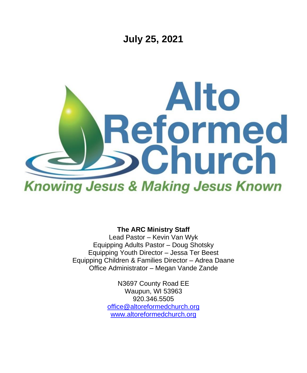

**The ARC Ministry Staff**

Lead Pastor – Kevin Van Wyk Equipping Adults Pastor – Doug Shotsky Equipping Youth Director – Jessa Ter Beest Equipping Children & Families Director – Adrea Daane Office Administrator – Megan Vande Zande

> N3697 County Road EE Waupun, WI 53963 920.346.5505 [office@altoreformedchurch.org](mailto:office@altoreformedchurch.org) [www.altoreformedchurch.org](http://www.altoreformedchurch.org/)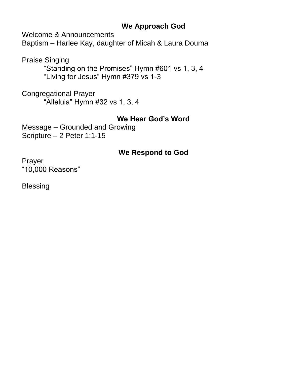### **We Approach God**

Welcome & Announcements

Baptism – Harlee Kay, daughter of Micah & Laura Douma

Praise Singing

"Standing on the Promises" Hymn #601 vs 1, 3, 4 "Living for Jesus" Hymn #379 vs 1-3

Congregational Prayer "Alleluia" Hymn #32 vs 1, 3, 4

## **We Hear God's Word**

Message – Grounded and Growing Scripture – 2 Peter 1:1-15

## **We Respond to God**

Prayer "10,000 Reasons"

Blessing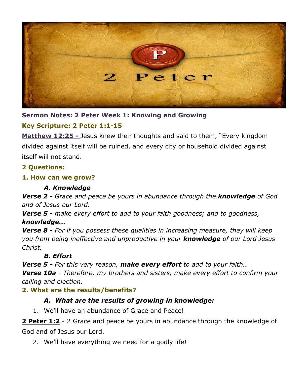

**Sermon Notes: 2 Peter Week 1: Knowing and Growing**

#### **Key Scripture: 2 Peter 1:1-15**

**Matthew 12:25 -** Jesus knew their thoughts and said to them, "Every kingdom divided against itself will be ruined, and every city or household divided against itself will not stand.

#### **2 Questions:**

#### **1. How can we grow?**

#### *A. Knowledge*

*Verse 2 - Grace and peace be yours in abundance through the knowledge of God and of Jesus our Lord.*

*Verse 5 - make every effort to add to your faith goodness; and to goodness, knowledge…*

*Verse 8 - For if you possess these qualities in increasing measure, they will keep you from being ineffective and unproductive in your knowledge of our Lord Jesus Christ.*

#### *B. Effort*

*Verse 5 - For this very reason, make every effort to add to your faith…*

*Verse 10a - Therefore, my brothers and sisters, make every effort to confirm your calling and election.*

#### **2. What are the results/benefits?**

#### *A. What are the results of growing in knowledge:*

1. We'll have an abundance of Grace and Peace!

**2 Peter 1:2** - 2 Grace and peace be yours in abundance through the knowledge of God and of Jesus our Lord.

2. We'll have everything we need for a godly life!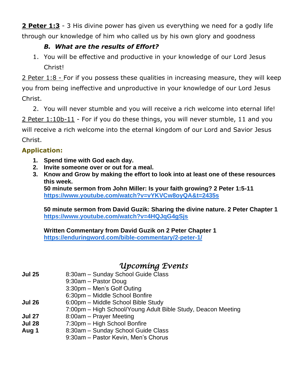**2 Peter 1:3** - 3 His divine power has given us everything we need for a godly life through our knowledge of him who called us by his own glory and goodness

#### *B. What are the results of Effort?*

1. You will be effective and productive in your knowledge of our Lord Jesus Christ!

2 Peter 1:8 - For if you possess these qualities in increasing measure, they will keep you from being ineffective and unproductive in your knowledge of our Lord Jesus Christ.

2. You will never stumble and you will receive a rich welcome into eternal life! 2 Peter 1:10b-11 - For if you do these things, you will never stumble, 11 and you will receive a rich welcome into the eternal kingdom of our Lord and Savior Jesus Christ.

#### **Application:**

- **1. Spend time with God each day.**
- **2. Invite someone over or out for a meal.**
- **3. Know and Grow by making the effort to look into at least one of these resources this week.**

**50 minute sermon from John Miller: Is your faith growing? 2 Peter 1:5-11 <https://www.youtube.com/watch?v=vYKVCw8oyQA&t=2435s>**

**50 minute sermon from David Guzik: Sharing the divine nature. 2 Peter Chapter 1 <https://www.youtube.com/watch?v=4HQJqG4gSjs>**

**Written Commentary from David Guzik on 2 Peter Chapter 1 <https://enduringword.com/bible-commentary/2-peter-1/>**

# *Upcoming Events*

- **Jul 25** 8:30am Sunday School Guide Class
	- 9:30am Pastor Doug
		- 3:30pm Men's Golf Outing
	- 6:30pm Middle School Bonfire
- **Jul 26** 6:00pm Middle School Bible Study
- 7:00pm High School/Young Adult Bible Study, Deacon Meeting
- **Jul 27** 8:00am Prayer Meeting
- **Jul 28** 7:30pm High School Bonfire
- **Aug 1** 8:30am Sunday School Guide Class
	- 9:30am Pastor Kevin, Men's Chorus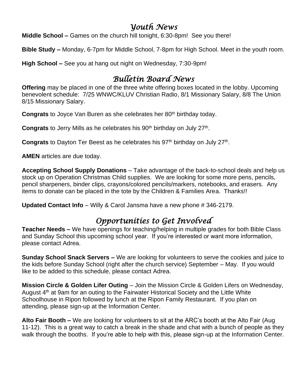# *Youth News*

**Middle School –** Games on the church hill tonight, 6:30-8pm! See you there!

**Bible Study –** Monday, 6-7pm for Middle School, 7-8pm for High School. Meet in the youth room.

**High School –** See you at hang out night on Wednesday, 7:30-9pm!

# *Bulletin Board News*

**Offering** may be placed in one of the three white offering boxes located in the lobby. Upcoming benevolent schedule: 7/25 WNWC/KLUV Christian Radio, 8/1 Missionary Salary, 8/8 The Union 8/15 Missionary Salary.

**Congrats** to Joyce Van Buren as she celebrates her 80<sup>th</sup> birthday today.

Congrats to Jerry Mills as he celebrates his 90<sup>th</sup> birthday on July 27<sup>th</sup>.

Congrats to Dayton Ter Beest as he celebrates his 97<sup>th</sup> birthday on July 27<sup>th</sup>.

**AMEN** articles are due today.

**Accepting School Supply Donations** – Take advantage of the back-to-school deals and help us stock up on Operation Christmas Child supplies. We are looking for some more pens, pencils, pencil sharpeners, binder clips, crayons/colored pencils/markers, notebooks, and erasers. Any items to donate can be placed in the tote by the Children & Families Area. Thanks!!

**Updated Contact Info** – Willy & Carol Jansma have a new phone # 346-2179.

# *Opportunities to Get Involved*

**Teacher Needs –** We have openings for teaching/helping in multiple grades for both Bible Class and Sunday School this upcoming school year. If you're interested or want more information, please contact Adrea.

**Sunday School Snack Servers –** We are looking for volunteers to serve the cookies and juice to the kids before Sunday School (right after the church service) September – May. If you would like to be added to this schedule, please contact Adrea.

**Mission Circle & Golden Lifer Outing** – Join the Mission Circle & Golden Lifers on Wednesday, August 4<sup>th</sup> at 9am for an outing to the Fairwater Historical Society and the Little White Schoolhouse in Ripon followed by lunch at the Ripon Family Restaurant. If you plan on attending, please sign-up at the Information Center.

**Alto Fair Booth –** We are looking for volunteers to sit at the ARC's booth at the Alto Fair (Aug 11-12). This is a great way to catch a break in the shade and chat with a bunch of people as they walk through the booths. If you're able to help with this, please sign-up at the Information Center.